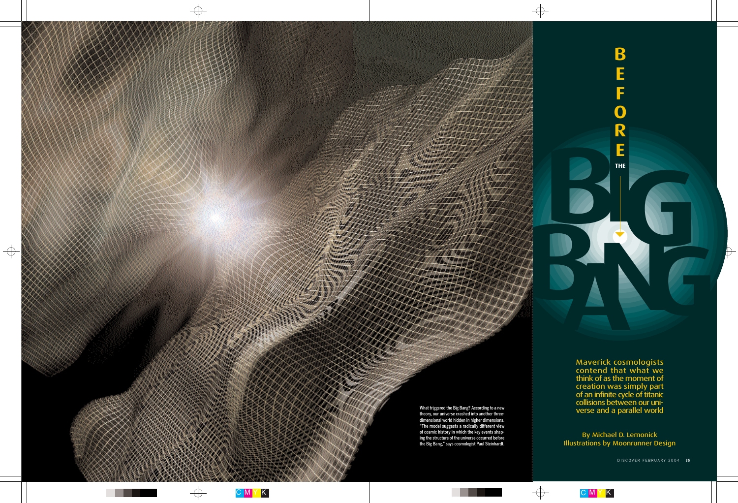C M Y K

 $\overline{\bigoplus}$ 

...

 $\overline{\bigoplus}$ 



# **NGC 1999 THE**

Maverick cosmologists contend that what we think of as the moment of creation was simply part of an infinite cycle of titanic collisions between our uni-What triggered the Big Bang? According to a new<br>theory our universe crashed into another three-

**B**



クスノナイ

87777.ATX **CARDONAL AD** 

100 100000000 **Williams** 00 T A

> By Michael D. Lemonick Illustrations by Moonrunner Design

> > DISCOVER FEBRUARY 2004 35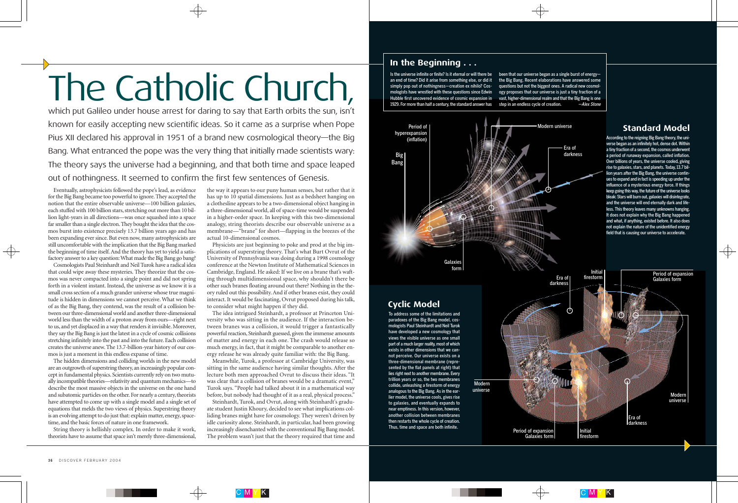

Eventually, astrophysicists followed the pope's lead, as evidence for the Big Bang became too powerful to ignore. They accepted the notion that the entire observable universe—100 billion galaxies, each stuffed with 100 billion stars, stretching out more than 10 billion light-years in all directions—was once squashed into a space far smaller than a single electron. They bought the idea that the cosmos burst into existence precisely 13.7 billion years ago and has been expanding ever since. But even now, many astrophysicists are still uncomfortable with the implication that the Big Bang marked the beginning of time itself. And the theory has yet to yield a satisfactory answer to a key question: What made the Big Bang go bang?

Cosmologists Paul Steinhardt and Neil Turok have a radical idea that could wipe away these mysteries. They theorize that the cosmos was never compacted into a single point and did not spring forth in a violent instant. Instead, the universe as we know it is a small cross section of a much grander universe whose true magnitude is hidden in dimensions we cannot perceive. What we think of as the Big Bang, they contend, was the result of a collision between our three-dimensional world and another three-dimensional world less than the width of a proton away from ours—right next to us, and yet displaced in a way that renders it invisible. Moreover, they say the Big Bang is just the latest in a cycle of cosmic collisions stretching infinitely into the past and into the future. Each collision creates the universe anew. The 13.7-billion-year history of our cosmos is just a moment in this endless expanse of time.

The hidden dimensions and colliding worlds in the new model are an outgrowth of superstring theory, an increasingly popular concept in fundamental physics. Scientists currently rely on two mutually incompatible theories—relativity and quantum mechanics—to describe the most massive objects in the universe on the one hand and subatomic particles on the other. For nearly a century, theorists have attempted to come up with a single model and a single set of equations that melds the two views of physics. Superstring theory is an evolving attempt to do just that: explain matter, energy, spacetime, and the basic forces of nature in one framework.

String theory is hellishly complex. In order to make it work, theorists have to assume that space isn't merely three-dimensional,

the way it appears to our puny human senses, but rather that it has up to 10 spatial dimensions. Just as a bedsheet hanging on a clothesline appears to be a two-dimensional object hanging in a three-dimensional world, all of space-time would be suspended in a higher-order space. In keeping with this two-dimensional analogy, string theorists describe our observable universe as a membrane—"brane" for short—flapping in the breezes of the actual 10-dimensional cosmos.

Physicists are just beginning to poke and prod at the big implications of superstring theory. That's what Burt Ovrut of the University of Pennsylvania was doing during a 1998 cosmology conference at the Newton Institute of Mathematical Sciences in Cambridge, England. He asked: If we live on a brane that's wafting through multidimensional space, why shouldn't there be other such branes floating around out there? Nothing in the theory ruled out this possibility. And if other branes exist, they could interact. It would be fascinating, Ovrut proposed during his talk, to consider what might happen if they did.

been that our universe began as a single burst of energy the Big Bang. Recent elaborations have answered some questions but not the biggest ones. A radical new cosmology proposes that our universe is just a tiny fraction of a vast, higher-dimensional realm and that the Big Bang is one step in an endless cycle of creation. **-Alex Stone** 

The idea intrigued Steinhardt, a professor at Princeton University who was sitting in the audience. If the interaction between branes was a collision, it would trigger a fantastically powerful reaction, Steinhardt guessed, given the immense amounts of matter and energy in each one. The crash would release so much energy, in fact, that it might be comparable to another energy release he was already quite familiar with: the Big Bang.

Meanwhile, Turok, a professor at Cambridge University, was sitting in the same audience having similar thoughts. After the lecture both men approached Ovrut to discuss their ideas. "It was clear that a collision of branes would be a dramatic event," Turok says. "People had talked about it in a mathematical way before, but nobody had thought of it as a real, physical process."

Steinhardt, Turok, and Ovrut, along with Steinhardt's graduate student Justin Khoury, decided to see what implications colliding branes might have for cosmology. They weren't driven by idle curiosity alone. Steinhardt, in particular, had been growing increasingly disenchanted with the conventional Big Bang model. The problem wasn't just that the theory required that time and

# The Catholic Church,

which put Galileo under house arrest for daring to say that Earth orbits the sun, isn't known for easily accepting new scientific ideas. So it came as a surprise when Pope Pius XII declared his approval in 1951 of a brand new cosmological theory—the Big Bang. What entranced the pope was the very thing that initially made scientists wary: The theory says the universe had a beginning, and that both time and space leaped out of nothingness. It seemed to confirm the first few sentences of Genesis.

# **Standard Model**

## **In the Beginning . . .**

According to the reigning Big Bang theory, the universe began as an infinitely hot, dense dot. Within a tiny fraction of a second, the cosmos underwent a period of runaway expansion, called inflation. Over billions of years, the universe cooled, giving rise to galaxies, stars, and planets. Today, 13.7 billion years after the Big Bang, the universe continues to expand and in fact is speeding up under the influence of a mysterious energy force. If things keep going this way, the future of the universe looks bleak: Stars will burn out, galaxies will disintegrate, and the universe will end eternally dark and lifeless. This theory leaves many unknowns hanging. It does not explain why the Big Bang happened and what, if anything, existed before. It also does not explain the nature of the unidentified energy field that is causing our universe to accelerate.





Is the universe infinite or finite? Is it eternal or will there be an end of time? Did it arise from something else, or did it simply pop out of nothingness—creation ex nihilo? Cosmologists have wrestled with these questions since Edwin Hubble first uncovered evidence of cosmic expansion in 1929. For more than half a century, the standard answer has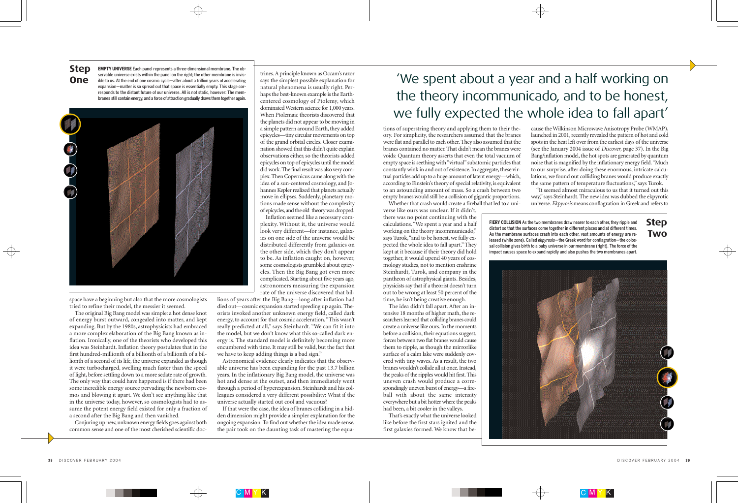

tions of superstring theory and applying them to their theory. For simplicity, the researchers assumed that the branes were flat and parallel to each other. They also assumed that the branes contained no matter. That didn't mean the branes were voids: Quantum theory asserts that even the total vacuum of empty space is seething with "virtual" subatomic particles that constantly wink in and out of existence. In aggregate, these virtual particles add up to a huge amount of latent energy—which, according to Einstein's theory of special relativity, is equivalent to an astounding amount of mass. So a crash between two empty branes would still be a collision of gigantic proportions.

Whether that crash would create a fireball that led to a uni-

verse like ours was unclear. If it didn't, there was no point continuing with the calculations. "We spent a year and a half working on the theory incommunicado," says Turok,"and to be honest, we fully expected the whole idea to fall apart." They kept at it because if their theory did hold together, it would upend 40 years of cosmology studies, not to mention enshrine Steinhardt, Turok, and company in the pantheon of astrophysical giants. Besides, physicists say that if a theorist doesn't turn out to be wrong at least 50 percent of the time, he isn't being creative enough.

The idea didn't fall apart. After an intensive 18 months of higher math, the researchers learned that colliding branes could create a universe like ours. In the moments before a collision, their equations suggest, forces between two flat branes would cause them to ripple, as though the mirrorlike surface of a calm lake were suddenly covered with tiny waves. As a result, the two branes wouldn't collide all at once. Instead, the peaks of the ripples would hit first. This uneven crash would produce a correspondingly uneven burst of energy—a fireball with about the same intensity everywhere but a bit hotter where the peaks had been, a bit cooler in the valleys.

That's exactly what the universe looked like before the first stars ignited and the first galaxies formed. We know that be-

cause the Wilkinson Microwave Anisotropy Probe (WMAP), launched in 2001, recently revealed the pattern of hot and cold spots in the heat left over from the earliest days of the universe (see the January 2004 issue of *Discover,* page 37). In the Big Bang/inflation model, the hot spots are generated by quantum noise that is magnified by the inflationary energy field."Much to our surprise, after doing these enormous, intricate calculations, we found out colliding branes would produce exactly the same pattern of temperature fluctuations," says Turok.

"It seemed almost miraculous to us that it turned out this way," says Steinhardt. The new idea was dubbed the ekpyrotic universe.*Ekpyrosis* means conflagration in Greek and refers to

space have a beginning but also that the more cosmologists tried to refine their model, the messier it seemed.

The original Big Bang model was simple: a hot dense knot of energy burst outward, congealed into matter, and kept expanding. But by the 1980s, astrophysicists had embraced a more complex elaboration of the Big Bang known as inflation. Ironically, one of the theorists who developed this idea was Steinhardt. Inflation theory postulates that in the first hundred-millionth of a billionth of a billionth of a billionth of a second of its life, the universe expanded as though it were turbocharged, swelling much faster than the speed of light, before settling down to a more sedate rate of growth. The only way that could have happened is if there had been some incredible energy source pervading the newborn cosmos and blowing it apart. We don't see anything like that in the universe today, however, so cosmologists had to assume the potent energy field existed for only a fraction of a second after the Big Bang and then vanished.

Conjuring up new, unknown energy fields goes against both common sense and one of the most cherished scientific doc-

trines.A principle known as Occam's razor says the simplest possible explanation for natural phenomena is usually right. Perhaps the best-known example is the Earthcentered cosmology of Ptolemy, which dominated Western science for 1,000 years. When Ptolemaic theorists discovered that the planets did not appear to be moving in a simple pattern around Earth, they added epicycles—tiny circular movements on top of the grand orbital circles. Closer examination showed that this didn't quite explain observations either, so the theorists added epicycles on top of epicycles until the model did work.The final result was also very complex. Then Copernicus came along with the idea of a sun-centered cosmology, and Johannes Kepler realized that planets actually move in ellipses. Suddenly, planetary motions made sense without the complexity of epicycles,and the old theory was dropped.

Inflation seemed like a necessary complexity. Without it, the universe would look very different—for instance, galaxies on one side of the universe would be distributed differently from galaxies on the other side, which they don't appear to be. As inflation caught on, however, some cosmologists grumbled about epicycles. Then the Big Bang got even more complicated. Starting about five years ago, astronomers measuring the expansion rate of the universe discovered that bil-

lions of years after the Big Bang—long after inflation had died out—cosmic expansion started speeding up again. Theorists invoked another unknown energy field, called dark energy, to account for that cosmic acceleration."This wasn't really predicted at all," says Steinhardt. "We can fit it into the model, but we don't know what this so-called dark energy is. The standard model is definitely becoming more encumbered with time. It may still be valid, but the fact that we have to keep adding things is a bad sign."

Astronomical evidence clearly indicates that the observable universe has been expanding for the past 13.7 billion years. In the inflationary Big Bang model, the universe was hot and dense at the outset, and then immediately went through a period of hyperexpansion. Steinhardt and his colleagues considered a very different possibility: What if the universe actually started out cool and vacuous?

If that were the case, the idea of branes colliding in a hidden dimension might provide a simpler explanation for the ongoing expansion. To find out whether the idea made sense, the pair took on the daunting task of mastering the equa-

 $^{\prime}$ K





DISCOVER FEBRUARY 2004 39

# 'We spent about a year and a half working on

the theory incommunicado, and to be honest, we fully expected the whole idea to fall apart'

**Step One EMPTY UNIVERSE** Each panel represents a three-dimensional membrane. The observable universe exists within the panel on the right; the other membrane is invisible to us. At the end of one cosmic cycle—after about a trillion years of accelerating expansion—matter is so spread out that space is essentially empty. This stage corresponds to the distant future of our universe. All is not static, however: The membranes still contain energy, and a force of attraction gradually draws them together again.



**FIERY COLLISION** As the two membranes draw nearer to each other, they ripple and distort so that the surfaces come together in different places and at different times. As the membrane surfaces crash into each other, vast amounts of energy are released (white zone). Called *ekpyrosis*—the Greek word for conflagration—the colossal collision gives birth to a baby universe in our membrane (right). The force of the impact causes space to expand rapidly and also pushes the two membranes apart.